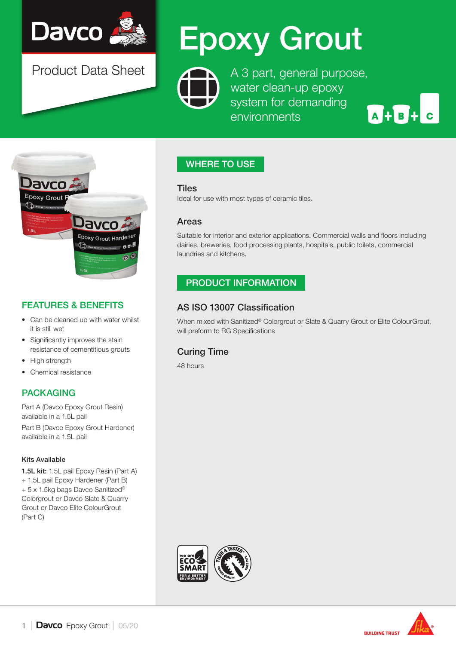

Product Data Sheet

# Epoxy Grout

A 3 part, general purpose, water clean-up epoxy system for demanding environments

A + B + C



# FEATURES & BENEFITS

- Can be cleaned up with water whilst it is still wet
- Significantly improves the stain resistance of cementitious grouts
- High strength
- Chemical resistance

# PACKAGING

Part A (Davco Epoxy Grout Resin) available in a 1.5L pail

Part B (Davco Epoxy Grout Hardener) available in a 1.5L pail

#### Kits Available

1.5L kit: 1.5L pail Epoxy Resin (Part A) + 1.5L pail Epoxy Hardener (Part B) + 5 x 1.5kg bags Davco Sanitized® Colorgrout or Davco Slate & Quarry Grout or Davco Elite ColourGrout (Part C)

# WHERE TO USE

#### **Tiles**

Ideal for use with most types of ceramic tiles.

#### Areas

Suitable for interior and exterior applications. Commercial walls and floors including dairies, breweries, food processing plants, hospitals, public toilets, commercial laundries and kitchens.

## PRODUCT INFORMATION

## AS ISO 13007 Classification

When mixed with Sanitized® Colorgrout or Slate & Quarry Grout or Elite ColourGrout, will preform to RG Specifications

# Curing Time

48 hours



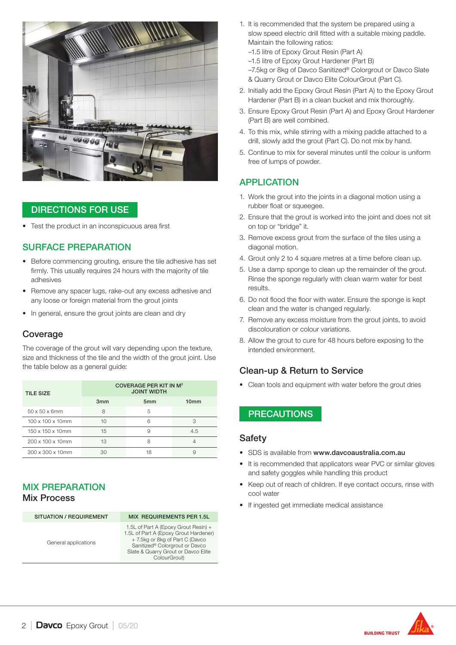

## DIRECTIONS FOR USE

Test the product in an inconspicuous area first

#### SURFACE PREPARATION

- Before commencing grouting, ensure the tile adhesive has set firmly. This usually requires 24 hours with the majority of tile adhesives
- Remove any spacer lugs, rake-out any excess adhesive and any loose or foreign material from the grout joints
- In general, ensure the grout joints are clean and dry

### **Coverage**

The coverage of the grout will vary depending upon the texture, size and thickness of the tile and the width of the grout joint. Use the table below as a general guide:

| <b>TILE SIZE</b>              | <b>COVERAGE PER KIT IN M<sup>2</sup></b><br><b>JOINT WIDTH</b> |                 |                  |
|-------------------------------|----------------------------------------------------------------|-----------------|------------------|
|                               | 3mm                                                            | 5 <sub>mm</sub> | 10 <sub>mm</sub> |
| 50 x 50 x 6mm                 | 8                                                              | 5               |                  |
| $100 \times 100 \times 10$ mm | 10                                                             | 6               | З                |
| 150 x 150 x 10mm              | 15                                                             | 9               | 4.5              |
| 200 x 100 x 10mm              | 13                                                             | 8               |                  |
| 300 x 300 x 10mm              | 30                                                             | 18              |                  |

#### MIX PREPARATION Mix Process

| <b>SITUATION / REQUIREMENT</b> | <b>MIX REQUIREMENTS PER 1.5L</b>                                                                                                                                                                          |
|--------------------------------|-----------------------------------------------------------------------------------------------------------------------------------------------------------------------------------------------------------|
| General applications           | 1.5L of Part A (Epoxy Grout Resin) +<br>1.5L of Part A (Epoxy Grout Hardener)<br>+ 7.5kg or 8kg of Part C (Davco<br>Sanitized® Colorgrout or Davco<br>Slate & Quarry Grout or Davco Elite<br>ColourGrout) |

- 1. It is recommended that the system be prepared using a slow speed electric drill fitted with a suitable mixing paddle. Maintain the following ratios:
	- –1.5 litre of Epoxy Grout Resin (Part A)
	- –1.5 litre of Epoxy Grout Hardener (Part B)
	- –7.5kg or 8kg of Davco Sanitized® Colorgrout or Davco Slate
- & Quarry Grout or Davco Elite ColourGrout (Part C).
- 2. Initially add the Epoxy Grout Resin (Part A) to the Epoxy Grout Hardener (Part B) in a clean bucket and mix thoroughly.
- 3. Ensure Epoxy Grout Resin (Part A) and Epoxy Grout Hardener (Part B) are well combined.
- 4. To this mix, while stirring with a mixing paddle attached to a drill, slowly add the grout (Part C). Do not mix by hand.
- 5. Continue to mix for several minutes until the colour is uniform free of lumps of powder.

#### APPLICATION

- 1. Work the grout into the joints in a diagonal motion using a rubber float or squeegee.
- 2. Ensure that the grout is worked into the joint and does not sit on top or "bridge" it.
- 3. Remove excess grout from the surface of the tiles using a diagonal motion.
- 4. Grout only 2 to 4 square metres at a time before clean up.
- 5. Use a damp sponge to clean up the remainder of the grout. Rinse the sponge regularly with clean warm water for best results.
- 6. Do not flood the floor with water. Ensure the sponge is kept clean and the water is changed regularly.
- 7. Remove any excess moisture from the grout joints, to avoid discolouration or colour variations.
- 8. Allow the grout to cure for 48 hours before exposing to the intended environment.

#### Clean-up & Return to Service

• Clean tools and equipment with water before the grout dries

#### **PRECAUTIONS**

#### Safety

- SDS is available from www.davcoaustralia.com.au
- It is recommended that applicators wear PVC or similar gloves and safety goggles while handling this product
- Keep out of reach of children. If eye contact occurs, rinse with cool water
- If ingested get immediate medical assistance